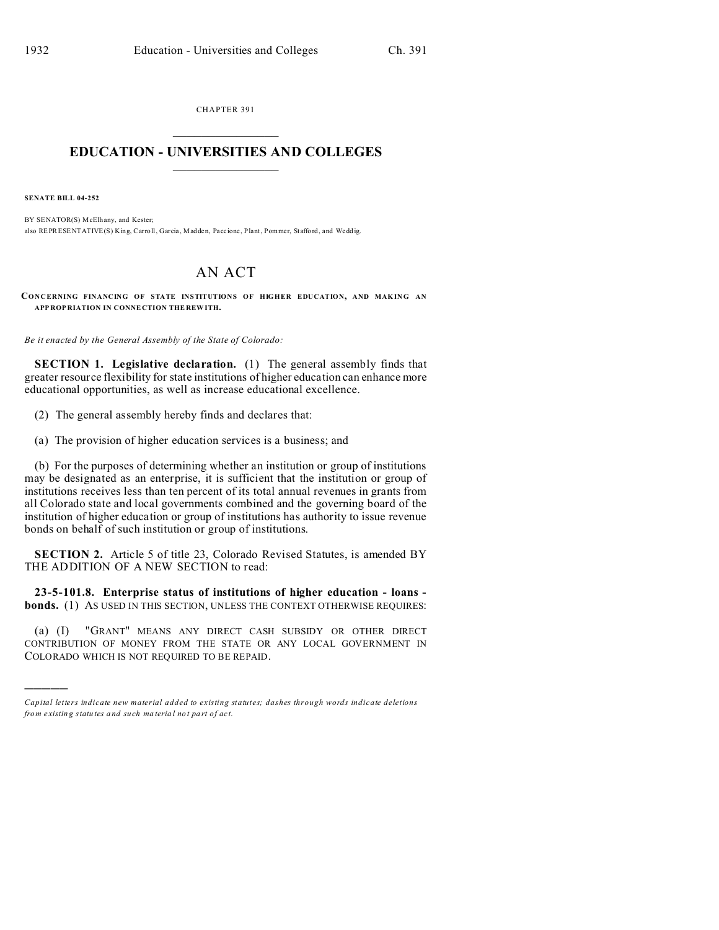CHAPTER 391  $\overline{\phantom{a}}$  , where  $\overline{\phantom{a}}$ 

## **EDUCATION - UNIVERSITIES AND COLLEGES**  $\frac{1}{2}$

**SENATE BILL 04-252**

)))))

BY SENATOR(S) McElhany, and Kester; also REPRESENTATIVE(S) King, Carroll, Garcia , Madden, Paccione , Plant, Pommer, Staffo rd, and Wedd ig.

## AN ACT

**CONCERNING FINANCING OF STATE INSTITUTIONS OF HIGHER EDUCATION, AND MAKING AN APP ROP RIATION IN CONNE CTION THE REW ITH.**

*Be it enacted by the General Assembly of the State of Colorado:*

**SECTION 1. Legislative declaration.** (1) The general assembly finds that greater resource flexibility for state institutions of higher education can enhance more educational opportunities, as well as increase educational excellence.

(2) The general assembly hereby finds and declares that:

(a) The provision of higher education services is a business; and

(b) For the purposes of determining whether an institution or group of institutions may be designated as an enterprise, it is sufficient that the institution or group of institutions receives less than ten percent of its total annual revenues in grants from all Colorado state and local governments combined and the governing board of the institution of higher education or group of institutions has authority to issue revenue bonds on behalf of such institution or group of institutions.

**SECTION 2.** Article 5 of title 23, Colorado Revised Statutes, is amended BY THE ADDITION OF A NEW SECTION to read:

**23-5-101.8. Enterprise status of institutions of higher education - loans bonds.** (1) AS USED IN THIS SECTION, UNLESS THE CONTEXT OTHERWISE REQUIRES:

(a) (I) "GRANT" MEANS ANY DIRECT CASH SUBSIDY OR OTHER DIRECT CONTRIBUTION OF MONEY FROM THE STATE OR ANY LOCAL GOVERNMENT IN COLORADO WHICH IS NOT REQUIRED TO BE REPAID.

*Capital letters indicate new material added to existing statutes; dashes through words indicate deletions from e xistin g statu tes a nd such ma teria l no t pa rt of ac t.*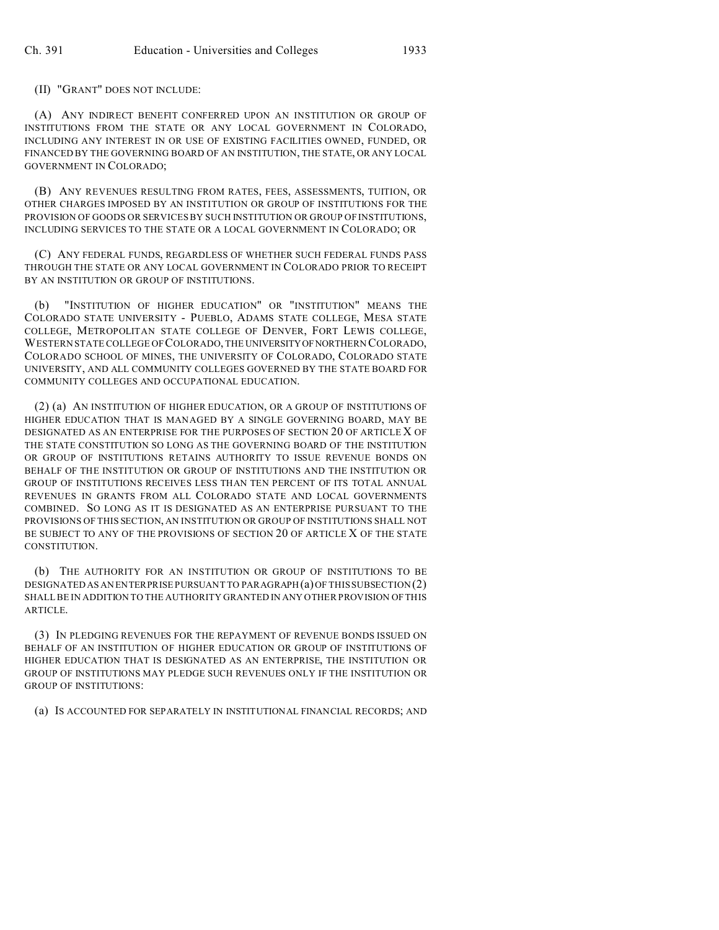(II) "GRANT" DOES NOT INCLUDE:

(A) ANY INDIRECT BENEFIT CONFERRED UPON AN INSTITUTION OR GROUP OF INSTITUTIONS FROM THE STATE OR ANY LOCAL GOVERNMENT IN COLORADO, INCLUDING ANY INTEREST IN OR USE OF EXISTING FACILITIES OWNED, FUNDED, OR FINANCED BY THE GOVERNING BOARD OF AN INSTITUTION, THE STATE, OR ANY LOCAL GOVERNMENT IN COLORADO;

(B) ANY REVENUES RESULTING FROM RATES, FEES, ASSESSMENTS, TUITION, OR OTHER CHARGES IMPOSED BY AN INSTITUTION OR GROUP OF INSTITUTIONS FOR THE PROVISION OF GOODS OR SERVICES BY SUCH INSTITUTION OR GROUP OF INSTITUTIONS, INCLUDING SERVICES TO THE STATE OR A LOCAL GOVERNMENT IN COLORADO; OR

(C) ANY FEDERAL FUNDS, REGARDLESS OF WHETHER SUCH FEDERAL FUNDS PASS THROUGH THE STATE OR ANY LOCAL GOVERNMENT IN COLORADO PRIOR TO RECEIPT BY AN INSTITUTION OR GROUP OF INSTITUTIONS.

(b) "INSTITUTION OF HIGHER EDUCATION" OR "INSTITUTION" MEANS THE COLORADO STATE UNIVERSITY - PUEBLO, ADAMS STATE COLLEGE, MESA STATE COLLEGE, METROPOLITAN STATE COLLEGE OF DENVER, FORT LEWIS COLLEGE, WESTERN STATE COLLEGE OF COLORADO, THE UNIVERSITYOFNORTHERN COLORADO, COLORADO SCHOOL OF MINES, THE UNIVERSITY OF COLORADO, COLORADO STATE UNIVERSITY, AND ALL COMMUNITY COLLEGES GOVERNED BY THE STATE BOARD FOR COMMUNITY COLLEGES AND OCCUPATIONAL EDUCATION.

(2) (a) AN INSTITUTION OF HIGHER EDUCATION, OR A GROUP OF INSTITUTIONS OF HIGHER EDUCATION THAT IS MANAGED BY A SINGLE GOVERNING BOARD, MAY BE DESIGNATED AS AN ENTERPRISE FOR THE PURPOSES OF SECTION 20 OF ARTICLE X OF THE STATE CONSTITUTION SO LONG AS THE GOVERNING BOARD OF THE INSTITUTION OR GROUP OF INSTITUTIONS RETAINS AUTHORITY TO ISSUE REVENUE BONDS ON BEHALF OF THE INSTITUTION OR GROUP OF INSTITUTIONS AND THE INSTITUTION OR GROUP OF INSTITUTIONS RECEIVES LESS THAN TEN PERCENT OF ITS TOTAL ANNUAL REVENUES IN GRANTS FROM ALL COLORADO STATE AND LOCAL GOVERNMENTS COMBINED. SO LONG AS IT IS DESIGNATED AS AN ENTERPRISE PURSUANT TO THE PROVISIONS OF THIS SECTION, AN INSTITUTION OR GROUP OF INSTITUTIONS SHALL NOT BE SUBJECT TO ANY OF THE PROVISIONS OF SECTION 20 OF ARTICLE X OF THE STATE CONSTITUTION.

(b) THE AUTHORITY FOR AN INSTITUTION OR GROUP OF INSTITUTIONS TO BE DESIGNATED AS AN ENTERPRISE PURSUANT TO PARAGRAPH $(a)$  OF THIS SUBSECTION  $(2)$ SHALL BE IN ADDITION TO THE AUTHORITY GRANTED IN ANY OTHER PROVISION OF THIS ARTICLE.

(3) IN PLEDGING REVENUES FOR THE REPAYMENT OF REVENUE BONDS ISSUED ON BEHALF OF AN INSTITUTION OF HIGHER EDUCATION OR GROUP OF INSTITUTIONS OF HIGHER EDUCATION THAT IS DESIGNATED AS AN ENTERPRISE, THE INSTITUTION OR GROUP OF INSTITUTIONS MAY PLEDGE SUCH REVENUES ONLY IF THE INSTITUTION OR GROUP OF INSTITUTIONS:

(a) IS ACCOUNTED FOR SEPARATELY IN INSTITUTIONAL FINANCIAL RECORDS; AND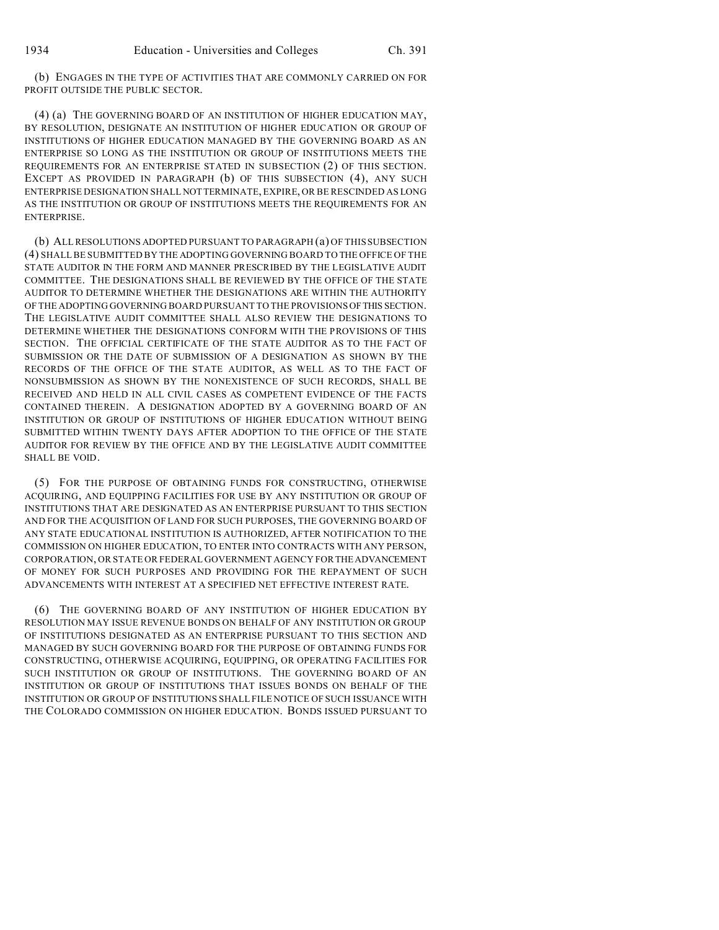(b) ENGAGES IN THE TYPE OF ACTIVITIES THAT ARE COMMONLY CARRIED ON FOR PROFIT OUTSIDE THE PUBLIC SECTOR.

(4) (a) THE GOVERNING BOARD OF AN INSTITUTION OF HIGHER EDUCATION MAY, BY RESOLUTION, DESIGNATE AN INSTITUTION OF HIGHER EDUCATION OR GROUP OF INSTITUTIONS OF HIGHER EDUCATION MANAGED BY THE GOVERNING BOARD AS AN ENTERPRISE SO LONG AS THE INSTITUTION OR GROUP OF INSTITUTIONS MEETS THE REQUIREMENTS FOR AN ENTERPRISE STATED IN SUBSECTION (2) OF THIS SECTION. EXCEPT AS PROVIDED IN PARAGRAPH (b) OF THIS SUBSECTION (4), ANY SUCH ENTERPRISE DESIGNATION SHALL NOTTERMINATE, EXPIRE, OR BE RESCINDED AS LONG AS THE INSTITUTION OR GROUP OF INSTITUTIONS MEETS THE REQUIREMENTS FOR AN ENTERPRISE.

(b) ALL RESOLUTIONS ADOPTED PURSUANT TO PARAGRAPH (a) OF THIS SUBSECTION (4) SHALL BE SUBMITTED BY THE ADOPTING GOVERNING BOARD TO THE OFFICE OF THE STATE AUDITOR IN THE FORM AND MANNER PRESCRIBED BY THE LEGISLATIVE AUDIT COMMITTEE. THE DESIGNATIONS SHALL BE REVIEWED BY THE OFFICE OF THE STATE AUDITOR TO DETERMINE WHETHER THE DESIGNATIONS ARE WITHIN THE AUTHORITY OF THE ADOPTING GOVERNING BOARD PURSUANT TO THE PROVISIONS OFTHIS SECTION. THE LEGISLATIVE AUDIT COMMITTEE SHALL ALSO REVIEW THE DESIGNATIONS TO DETERMINE WHETHER THE DESIGNATIONS CONFORM WITH THE PROVISIONS OF THIS SECTION. THE OFFICIAL CERTIFICATE OF THE STATE AUDITOR AS TO THE FACT OF SUBMISSION OR THE DATE OF SUBMISSION OF A DESIGNATION AS SHOWN BY THE RECORDS OF THE OFFICE OF THE STATE AUDITOR, AS WELL AS TO THE FACT OF NONSUBMISSION AS SHOWN BY THE NONEXISTENCE OF SUCH RECORDS, SHALL BE RECEIVED AND HELD IN ALL CIVIL CASES AS COMPETENT EVIDENCE OF THE FACTS CONTAINED THEREIN. A DESIGNATION ADOPTED BY A GOVERNING BOARD OF AN INSTITUTION OR GROUP OF INSTITUTIONS OF HIGHER EDUCATION WITHOUT BEING SUBMITTED WITHIN TWENTY DAYS AFTER ADOPTION TO THE OFFICE OF THE STATE AUDITOR FOR REVIEW BY THE OFFICE AND BY THE LEGISLATIVE AUDIT COMMITTEE SHALL BE VOID.

(5) FOR THE PURPOSE OF OBTAINING FUNDS FOR CONSTRUCTING, OTHERWISE ACQUIRING, AND EQUIPPING FACILITIES FOR USE BY ANY INSTITUTION OR GROUP OF INSTITUTIONS THAT ARE DESIGNATED AS AN ENTERPRISE PURSUANT TO THIS SECTION AND FOR THE ACQUISITION OF LAND FOR SUCH PURPOSES, THE GOVERNING BOARD OF ANY STATE EDUCATIONAL INSTITUTION IS AUTHORIZED, AFTER NOTIFICATION TO THE COMMISSION ON HIGHER EDUCATION, TO ENTER INTO CONTRACTS WITH ANY PERSON, CORPORATION, OR STATE OR FEDERAL GOVERNMENT AGENCY FORTHEADVANCEMENT OF MONEY FOR SUCH PURPOSES AND PROVIDING FOR THE REPAYMENT OF SUCH ADVANCEMENTS WITH INTEREST AT A SPECIFIED NET EFFECTIVE INTEREST RATE.

(6) THE GOVERNING BOARD OF ANY INSTITUTION OF HIGHER EDUCATION BY RESOLUTION MAY ISSUE REVENUE BONDS ON BEHALF OF ANY INSTITUTION OR GROUP OF INSTITUTIONS DESIGNATED AS AN ENTERPRISE PURSUANT TO THIS SECTION AND MANAGED BY SUCH GOVERNING BOARD FOR THE PURPOSE OF OBTAINING FUNDS FOR CONSTRUCTING, OTHERWISE ACQUIRING, EQUIPPING, OR OPERATING FACILITIES FOR SUCH INSTITUTION OR GROUP OF INSTITUTIONS. THE GOVERNING BOARD OF AN INSTITUTION OR GROUP OF INSTITUTIONS THAT ISSUES BONDS ON BEHALF OF THE INSTITUTION OR GROUP OF INSTITUTIONS SHALL FILE NOTICE OF SUCH ISSUANCE WITH THE COLORADO COMMISSION ON HIGHER EDUCATION. BONDS ISSUED PURSUANT TO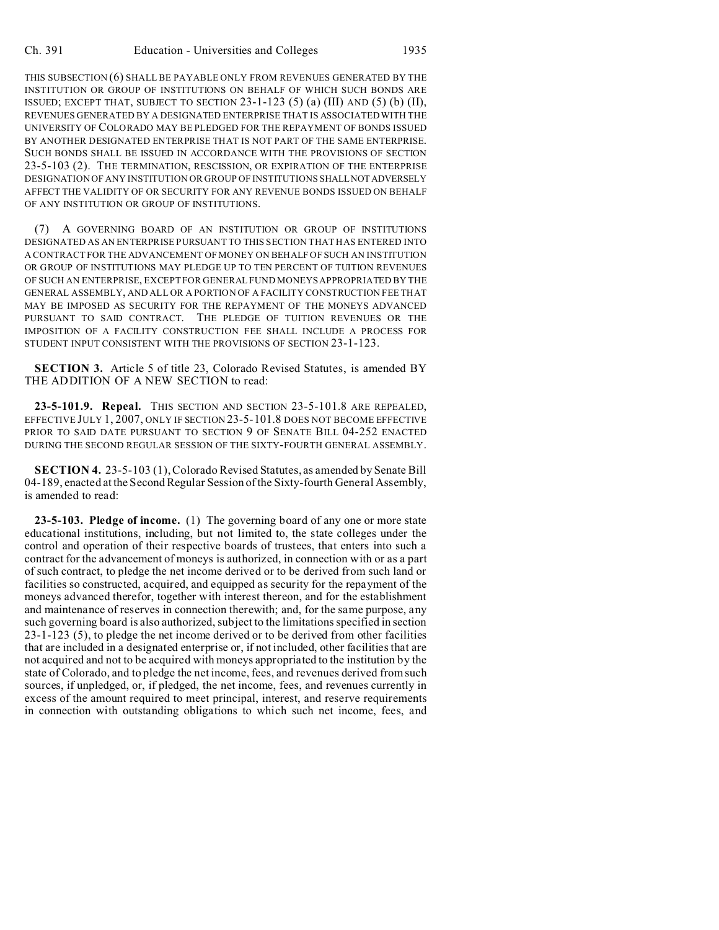THIS SUBSECTION (6) SHALL BE PAYABLE ONLY FROM REVENUES GENERATED BY THE INSTITUTION OR GROUP OF INSTITUTIONS ON BEHALF OF WHICH SUCH BONDS ARE ISSUED; EXCEPT THAT, SUBJECT TO SECTION  $23-1-123$  (5) (a) (III) AND (5) (b) (II), REVENUES GENERATED BY A DESIGNATED ENTERPRISE THAT IS ASSOCIATED WITH THE UNIVERSITY OF COLORADO MAY BE PLEDGED FOR THE REPAYMENT OF BONDS ISSUED BY ANOTHER DESIGNATED ENTERPRISE THAT IS NOT PART OF THE SAME ENTERPRISE. SUCH BONDS SHALL BE ISSUED IN ACCORDANCE WITH THE PROVISIONS OF SECTION 23-5-103 (2). THE TERMINATION, RESCISSION, OR EXPIRATION OF THE ENTERPRISE DESIGNATION OF ANY INSTITUTION OR GROUP OF INSTITUTIONS SHALLNOTADVERSELY AFFECT THE VALIDITY OF OR SECURITY FOR ANY REVENUE BONDS ISSUED ON BEHALF OF ANY INSTITUTION OR GROUP OF INSTITUTIONS.

(7) A GOVERNING BOARD OF AN INSTITUTION OR GROUP OF INSTITUTIONS DESIGNATED AS AN ENTERPRISE PURSUANT TO THIS SECTION THAT HAS ENTERED INTO A CONTRACT FOR THE ADVANCEMENT OF MONEY ON BEHALF OF SUCH AN INSTITUTION OR GROUP OF INSTITUTIONS MAY PLEDGE UP TO TEN PERCENT OF TUITION REVENUES OF SUCH AN ENTERPRISE, EXCEPT FOR GENERAL FUND MONEYS APPROPRIATED BY THE GENERAL ASSEMBLY, AND ALL OR A PORTION OF A FACILITY CONSTRUCTION FEE THAT MAY BE IMPOSED AS SECURITY FOR THE REPAYMENT OF THE MONEYS ADVANCED PURSUANT TO SAID CONTRACT. THE PLEDGE OF TUITION REVENUES OR THE IMPOSITION OF A FACILITY CONSTRUCTION FEE SHALL INCLUDE A PROCESS FOR STUDENT INPUT CONSISTENT WITH THE PROVISIONS OF SECTION 23-1-123.

**SECTION 3.** Article 5 of title 23, Colorado Revised Statutes, is amended BY THE ADDITION OF A NEW SECTION to read:

**23-5-101.9. Repeal.** THIS SECTION AND SECTION 23-5-101.8 ARE REPEALED, EFFECTIVE JULY 1, 2007, ONLY IF SECTION 23-5-101.8 DOES NOT BECOME EFFECTIVE PRIOR TO SAID DATE PURSUANT TO SECTION 9 OF SENATE BILL 04-252 ENACTED DURING THE SECOND REGULAR SESSION OF THE SIXTY-FOURTH GENERAL ASSEMBLY.

**SECTION 4.** 23-5-103 (1), Colorado Revised Statutes, as amended by Senate Bill 04-189, enacted at the Second Regular Session of the Sixty-fourth General Assembly, is amended to read:

**23-5-103. Pledge of income.** (1) The governing board of any one or more state educational institutions, including, but not limited to, the state colleges under the control and operation of their respective boards of trustees, that enters into such a contract for the advancement of moneys is authorized, in connection with or as a part of such contract, to pledge the net income derived or to be derived from such land or facilities so constructed, acquired, and equipped as security for the repayment of the moneys advanced therefor, together with interest thereon, and for the establishment and maintenance of reserves in connection therewith; and, for the same purpose, any such governing board is also authorized, subject to the limitations specified in section 23-1-123 (5), to pledge the net income derived or to be derived from other facilities that are included in a designated enterprise or, if not included, other facilities that are not acquired and not to be acquired with moneys appropriated to the institution by the state of Colorado, and to pledge the net income, fees, and revenues derived from such sources, if unpledged, or, if pledged, the net income, fees, and revenues currently in excess of the amount required to meet principal, interest, and reserve requirements in connection with outstanding obligations to which such net income, fees, and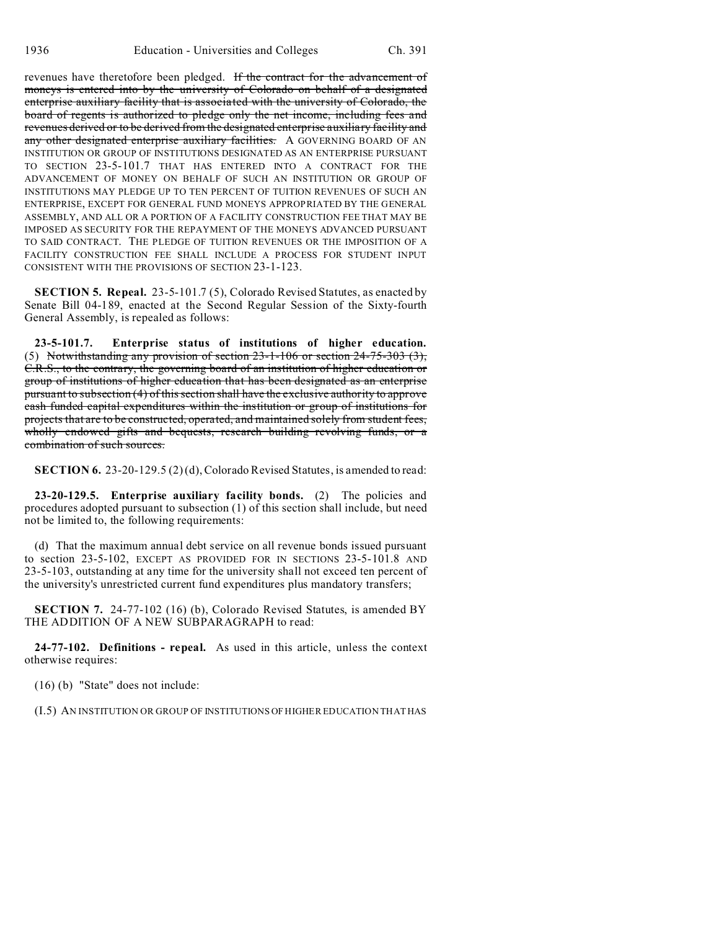revenues have theretofore been pledged. If the contract for the advancement of moneys is entered into by the university of Colorado on behalf of a designated enterprise auxiliary facility that is associated with the university of Colorado, the board of regents is authorized to pledge only the net income, including fees and revenues derived or to be derived from the designated enterprise auxiliary facility and any other designated enterprise auxiliary facilities. A GOVERNING BOARD OF AN INSTITUTION OR GROUP OF INSTITUTIONS DESIGNATED AS AN ENTERPRISE PURSUANT TO SECTION 23-5-101.7 THAT HAS ENTERED INTO A CONTRACT FOR THE ADVANCEMENT OF MONEY ON BEHALF OF SUCH AN INSTITUTION OR GROUP OF INSTITUTIONS MAY PLEDGE UP TO TEN PERCENT OF TUITION REVENUES OF SUCH AN ENTERPRISE, EXCEPT FOR GENERAL FUND MONEYS APPROPRIATED BY THE GENERAL ASSEMBLY, AND ALL OR A PORTION OF A FACILITY CONSTRUCTION FEE THAT MAY BE IMPOSED AS SECURITY FOR THE REPAYMENT OF THE MONEYS ADVANCED PURSUANT TO SAID CONTRACT. THE PLEDGE OF TUITION REVENUES OR THE IMPOSITION OF A FACILITY CONSTRUCTION FEE SHALL INCLUDE A PROCESS FOR STUDENT INPUT CONSISTENT WITH THE PROVISIONS OF SECTION 23-1-123.

**SECTION 5. Repeal.** 23-5-101.7 (5), Colorado Revised Statutes, as enacted by Senate Bill 04-189, enacted at the Second Regular Session of the Sixty-fourth General Assembly, is repealed as follows:

**23-5-101.7. Enterprise status of institutions of higher education.** (5) Notwithstanding any provision of section  $23-1-106$  or section  $24-75-303$  (3), C.R.S., to the contrary, the governing board of an institution of higher education or group of institutions of higher education that has been designated as an enterprise pursuant to subsection (4) of this section shall have the exclusive authority to approve cash funded capital expenditures within the institution or group of institutions for projects that are to be constructed, operated, and maintained solely from student fees, wholly endowed gifts and bequests, research building revolving funds, or a combination of such sources.

**SECTION 6.** 23-20-129.5 (2) (d), Colorado Revised Statutes, is amended to read:

**23-20-129.5. Enterprise auxiliary facility bonds.** (2) The policies and procedures adopted pursuant to subsection (1) of this section shall include, but need not be limited to, the following requirements:

(d) That the maximum annual debt service on all revenue bonds issued pursuant to section 23-5-102, EXCEPT AS PROVIDED FOR IN SECTIONS 23-5-101.8 AND 23-5-103, outstanding at any time for the university shall not exceed ten percent of the university's unrestricted current fund expenditures plus mandatory transfers;

**SECTION 7.** 24-77-102 (16) (b), Colorado Revised Statutes, is amended BY THE ADDITION OF A NEW SUBPARAGRAPH to read:

**24-77-102. Definitions - repeal.** As used in this article, unless the context otherwise requires:

(16) (b) "State" does not include:

(I.5) AN INSTITUTION OR GROUP OF INSTITUTIONS OF HIGHER EDUCATION THAT HAS